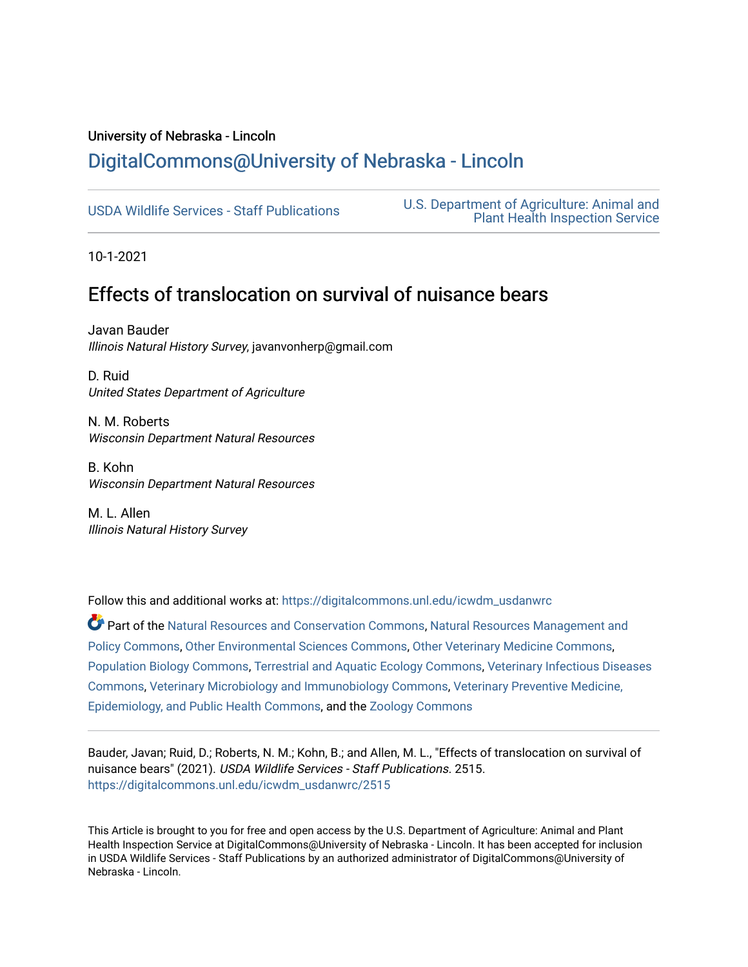## University of Nebraska - Lincoln [DigitalCommons@University of Nebraska - Lincoln](https://digitalcommons.unl.edu/)

[USDA Wildlife Services - Staff Publications](https://digitalcommons.unl.edu/icwdm_usdanwrc) [U.S. Department of Agriculture: Animal and](https://digitalcommons.unl.edu/usdaaphis)  [Plant Health Inspection Service](https://digitalcommons.unl.edu/usdaaphis) 

10-1-2021

# Effects of translocation on survival of nuisance bears

Javan Bauder Illinois Natural History Survey, javanvonherp@gmail.com

D. Ruid United States Department of Agriculture

N. M. Roberts Wisconsin Department Natural Resources

B. Kohn Wisconsin Department Natural Resources

M. L. Allen Illinois Natural History Survey

Follow this and additional works at: [https://digitalcommons.unl.edu/icwdm\\_usdanwrc](https://digitalcommons.unl.edu/icwdm_usdanwrc?utm_source=digitalcommons.unl.edu%2Ficwdm_usdanwrc%2F2515&utm_medium=PDF&utm_campaign=PDFCoverPages)

Part of the [Natural Resources and Conservation Commons,](http://network.bepress.com/hgg/discipline/168?utm_source=digitalcommons.unl.edu%2Ficwdm_usdanwrc%2F2515&utm_medium=PDF&utm_campaign=PDFCoverPages) [Natural Resources Management and](http://network.bepress.com/hgg/discipline/170?utm_source=digitalcommons.unl.edu%2Ficwdm_usdanwrc%2F2515&utm_medium=PDF&utm_campaign=PDFCoverPages) [Policy Commons](http://network.bepress.com/hgg/discipline/170?utm_source=digitalcommons.unl.edu%2Ficwdm_usdanwrc%2F2515&utm_medium=PDF&utm_campaign=PDFCoverPages), [Other Environmental Sciences Commons](http://network.bepress.com/hgg/discipline/173?utm_source=digitalcommons.unl.edu%2Ficwdm_usdanwrc%2F2515&utm_medium=PDF&utm_campaign=PDFCoverPages), [Other Veterinary Medicine Commons](http://network.bepress.com/hgg/discipline/771?utm_source=digitalcommons.unl.edu%2Ficwdm_usdanwrc%2F2515&utm_medium=PDF&utm_campaign=PDFCoverPages), [Population Biology Commons,](http://network.bepress.com/hgg/discipline/19?utm_source=digitalcommons.unl.edu%2Ficwdm_usdanwrc%2F2515&utm_medium=PDF&utm_campaign=PDFCoverPages) [Terrestrial and Aquatic Ecology Commons,](http://network.bepress.com/hgg/discipline/20?utm_source=digitalcommons.unl.edu%2Ficwdm_usdanwrc%2F2515&utm_medium=PDF&utm_campaign=PDFCoverPages) [Veterinary Infectious Diseases](http://network.bepress.com/hgg/discipline/770?utm_source=digitalcommons.unl.edu%2Ficwdm_usdanwrc%2F2515&utm_medium=PDF&utm_campaign=PDFCoverPages)  [Commons](http://network.bepress.com/hgg/discipline/770?utm_source=digitalcommons.unl.edu%2Ficwdm_usdanwrc%2F2515&utm_medium=PDF&utm_campaign=PDFCoverPages), [Veterinary Microbiology and Immunobiology Commons,](http://network.bepress.com/hgg/discipline/763?utm_source=digitalcommons.unl.edu%2Ficwdm_usdanwrc%2F2515&utm_medium=PDF&utm_campaign=PDFCoverPages) [Veterinary Preventive Medicine,](http://network.bepress.com/hgg/discipline/769?utm_source=digitalcommons.unl.edu%2Ficwdm_usdanwrc%2F2515&utm_medium=PDF&utm_campaign=PDFCoverPages)  [Epidemiology, and Public Health Commons,](http://network.bepress.com/hgg/discipline/769?utm_source=digitalcommons.unl.edu%2Ficwdm_usdanwrc%2F2515&utm_medium=PDF&utm_campaign=PDFCoverPages) and the [Zoology Commons](http://network.bepress.com/hgg/discipline/81?utm_source=digitalcommons.unl.edu%2Ficwdm_usdanwrc%2F2515&utm_medium=PDF&utm_campaign=PDFCoverPages)

Bauder, Javan; Ruid, D.; Roberts, N. M.; Kohn, B.; and Allen, M. L., "Effects of translocation on survival of nuisance bears" (2021). USDA Wildlife Services - Staff Publications. 2515. [https://digitalcommons.unl.edu/icwdm\\_usdanwrc/2515](https://digitalcommons.unl.edu/icwdm_usdanwrc/2515?utm_source=digitalcommons.unl.edu%2Ficwdm_usdanwrc%2F2515&utm_medium=PDF&utm_campaign=PDFCoverPages) 

This Article is brought to you for free and open access by the U.S. Department of Agriculture: Animal and Plant Health Inspection Service at DigitalCommons@University of Nebraska - Lincoln. It has been accepted for inclusion in USDA Wildlife Services - Staff Publications by an authorized administrator of DigitalCommons@University of Nebraska - Lincoln.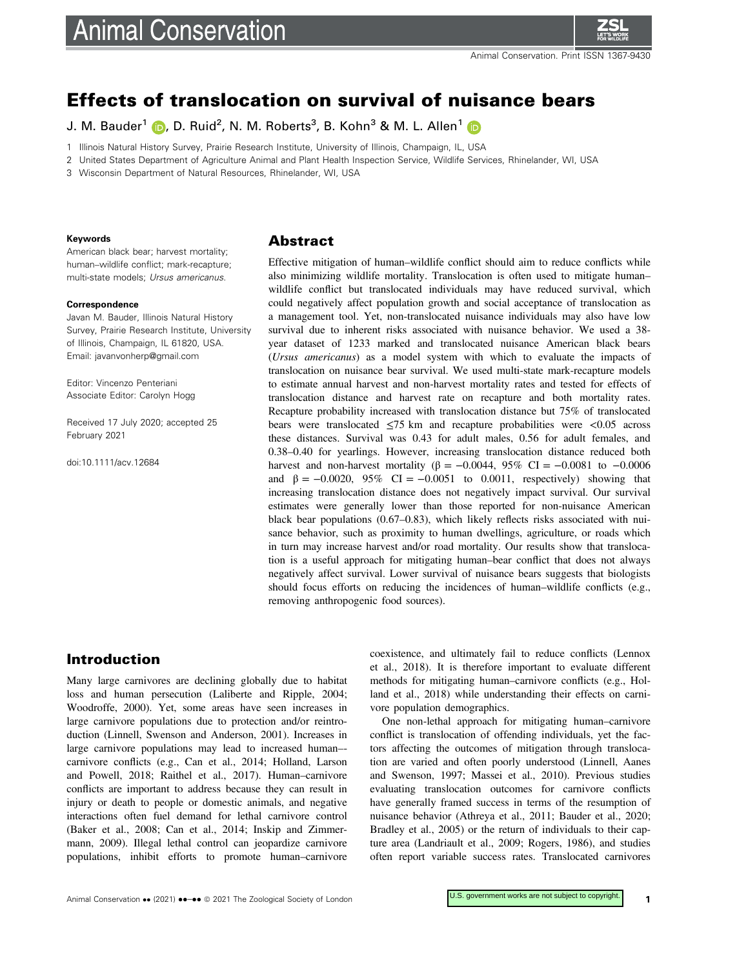

## Effects of translocation on survival of nuisance bears

J. M. Bauder<sup>1</sup> D. D. Ruid<sup>2</sup>, N. M. Roberts<sup>3</sup>, B. Kohn<sup>3</sup> & M. L. Allen<sup>1</sup>

1 Illinois Natural History Survey, Prairie Research Institute, University of Illinois, Champaign, IL, USA

2 United States Department of Agriculture Animal and Plant Health Inspection Service, Wildlife Services, Rhinelander, WI, USA

3 Wisconsin Department of Natural Resources, Rhinelander, WI, USA

#### Keywords

American black bear; harvest mortality; human–wildlife conflict; mark-recapture; multi-state models; Ursus americanus.

#### **Correspondence**

Javan M. Bauder, Illinois Natural History Survey, Prairie Research Institute, University of Illinois, Champaign, IL 61820, USA. Email: [javanvonherp@gmail.com](mailto:)

Editor: Vincenzo Penteriani Associate Editor: Carolyn Hogg

Received 17 July 2020; accepted 25 February 2021

doi:10.1111/acv.12684

#### Abstract

Effective mitigation of human–wildlife conflict should aim to reduce conflicts while also minimizing wildlife mortality. Translocation is often used to mitigate human– wildlife conflict but translocated individuals may have reduced survival, which could negatively affect population growth and social acceptance of translocation as a management tool. Yet, non-translocated nuisance individuals may also have low survival due to inherent risks associated with nuisance behavior. We used a 38 year dataset of 1233 marked and translocated nuisance American black bears (Ursus americanus) as a model system with which to evaluate the impacts of translocation on nuisance bear survival. We used multi-state mark-recapture models to estimate annual harvest and non-harvest mortality rates and tested for effects of translocation distance and harvest rate on recapture and both mortality rates. Recapture probability increased with translocation distance but 75% of translocated bears were translocated  $\leq 75$  km and recapture probabilities were  $\leq 0.05$  across these distances. Survival was 0.43 for adult males, 0.56 for adult females, and 0.38–0.40 for yearlings. However, increasing translocation distance reduced both harvest and non-harvest mortality ( $\beta = -0.0044$ , 95% CI = -0.0081 to -0.0006 and  $\beta = -0.0020$ , 95% CI = -0.0051 to 0.0011, respectively) showing that increasing translocation distance does not negatively impact survival. Our survival estimates were generally lower than those reported for non-nuisance American black bear populations (0.67–0.83), which likely reflects risks associated with nuisance behavior, such as proximity to human dwellings, agriculture, or roads which in turn may increase harvest and/or road mortality. Our results show that translocation is a useful approach for mitigating human–bear conflict that does not always negatively affect survival. Lower survival of nuisance bears suggests that biologists should focus efforts on reducing the incidences of human–wildlife conflicts (e.g., removing anthropogenic food sources).

### Introduction

Many large carnivores are declining globally due to habitat loss and human persecution (Laliberte and Ripple, 2004; Woodroffe, 2000). Yet, some areas have seen increases in large carnivore populations due to protection and/or reintroduction (Linnell, Swenson and Anderson, 2001). Increases in large carnivore populations may lead to increased human– carnivore conflicts (e.g., Can et al., 2014; Holland, Larson and Powell, 2018; Raithel et al., 2017). Human–carnivore conflicts are important to address because they can result in injury or death to people or domestic animals, and negative interactions often fuel demand for lethal carnivore control (Baker et al., 2008; Can et al., 2014; Inskip and Zimmermann, 2009). Illegal lethal control can jeopardize carnivore populations, inhibit efforts to promote human–carnivore coexistence, and ultimately fail to reduce conflicts (Lennox et al., 2018). It is therefore important to evaluate different methods for mitigating human–carnivore conflicts (e.g., Holland et al., 2018) while understanding their effects on carnivore population demographics.

One non-lethal approach for mitigating human–carnivore conflict is translocation of offending individuals, yet the factors affecting the outcomes of mitigation through translocation are varied and often poorly understood (Linnell, Aanes and Swenson, 1997; Massei et al., 2010). Previous studies evaluating translocation outcomes for carnivore conflicts have generally framed success in terms of the resumption of nuisance behavior (Athreya et al., 2011; Bauder et al., 2020; Bradley et al., 2005) or the return of individuals to their capture area (Landriault et al., 2009; Rogers, 1986), and studies often report variable success rates. Translocated carnivores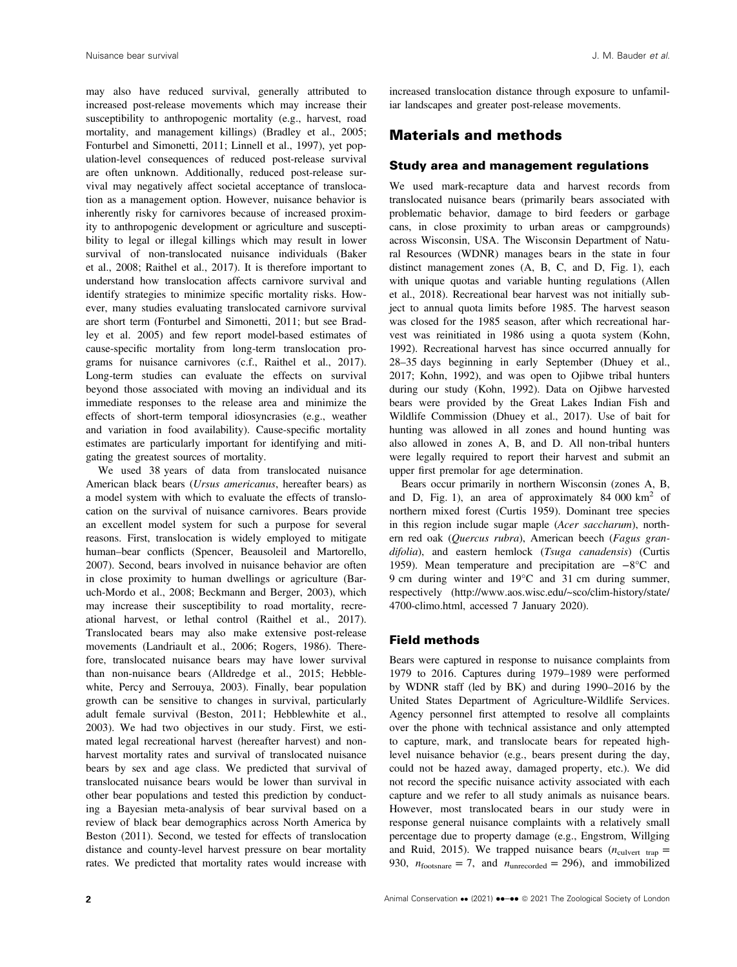may also have reduced survival, generally attributed to increased post-release movements which may increase their susceptibility to anthropogenic mortality (e.g., harvest, road mortality, and management killings) (Bradley et al., 2005; Fonturbel and Simonetti, 2011; Linnell et al., 1997), yet population-level consequences of reduced post-release survival are often unknown. Additionally, reduced post-release survival may negatively affect societal acceptance of translocation as a management option. However, nuisance behavior is inherently risky for carnivores because of increased proximity to anthropogenic development or agriculture and susceptibility to legal or illegal killings which may result in lower survival of non-translocated nuisance individuals (Baker et al., 2008; Raithel et al., 2017). It is therefore important to understand how translocation affects carnivore survival and identify strategies to minimize specific mortality risks. However, many studies evaluating translocated carnivore survival are short term (Fonturbel and Simonetti, 2011; but see Bradley et al. 2005) and few report model-based estimates of cause-specific mortality from long-term translocation programs for nuisance carnivores (c.f., Raithel et al., 2017). Long-term studies can evaluate the effects on survival beyond those associated with moving an individual and its immediate responses to the release area and minimize the effects of short-term temporal idiosyncrasies (e.g., weather and variation in food availability). Cause-specific mortality estimates are particularly important for identifying and mitigating the greatest sources of mortality.

We used 38 years of data from translocated nuisance American black bears (Ursus americanus, hereafter bears) as a model system with which to evaluate the effects of translocation on the survival of nuisance carnivores. Bears provide an excellent model system for such a purpose for several reasons. First, translocation is widely employed to mitigate human–bear conflicts (Spencer, Beausoleil and Martorello, 2007). Second, bears involved in nuisance behavior are often in close proximity to human dwellings or agriculture (Baruch-Mordo et al., 2008; Beckmann and Berger, 2003), which may increase their susceptibility to road mortality, recreational harvest, or lethal control (Raithel et al., 2017). Translocated bears may also make extensive post-release movements (Landriault et al., 2006; Rogers, 1986). Therefore, translocated nuisance bears may have lower survival than non-nuisance bears (Alldredge et al., 2015; Hebblewhite, Percy and Serrouya, 2003). Finally, bear population growth can be sensitive to changes in survival, particularly adult female survival (Beston, 2011; Hebblewhite et al., 2003). We had two objectives in our study. First, we estimated legal recreational harvest (hereafter harvest) and nonharvest mortality rates and survival of translocated nuisance bears by sex and age class. We predicted that survival of translocated nuisance bears would be lower than survival in other bear populations and tested this prediction by conducting a Bayesian meta-analysis of bear survival based on a review of black bear demographics across North America by Beston (2011). Second, we tested for effects of translocation distance and county-level harvest pressure on bear mortality rates. We predicted that mortality rates would increase with increased translocation distance through exposure to unfamiliar landscapes and greater post-release movements.

### Materials and methods

#### Study area and management regulations

We used mark-recapture data and harvest records from translocated nuisance bears (primarily bears associated with problematic behavior, damage to bird feeders or garbage cans, in close proximity to urban areas or campgrounds) across Wisconsin, USA. The Wisconsin Department of Natural Resources (WDNR) manages bears in the state in four distinct management zones (A, B, C, and D, Fig. 1), each with unique quotas and variable hunting regulations (Allen et al., 2018). Recreational bear harvest was not initially subject to annual quota limits before 1985. The harvest season was closed for the 1985 season, after which recreational harvest was reinitiated in 1986 using a quota system (Kohn, 1992). Recreational harvest has since occurred annually for 28–35 days beginning in early September (Dhuey et al., 2017; Kohn, 1992), and was open to Ojibwe tribal hunters during our study (Kohn, 1992). Data on Ojibwe harvested bears were provided by the Great Lakes Indian Fish and Wildlife Commission (Dhuey et al., 2017). Use of bait for hunting was allowed in all zones and hound hunting was also allowed in zones A, B, and D. All non-tribal hunters were legally required to report their harvest and submit an upper first premolar for age determination.

Bears occur primarily in northern Wisconsin (zones A, B, and D, Fig. 1), an area of approximately  $84,000 \text{ km}^2$  of northern mixed forest (Curtis 1959). Dominant tree species in this region include sugar maple (Acer saccharum), northern red oak (Quercus rubra), American beech (Fagus grandifolia), and eastern hemlock (Tsuga canadensis) (Curtis 1959). Mean temperature and precipitation are −8°C and 9 cm during winter and 19°C and 31 cm during summer, respectively ([http://www.aos.wisc.edu/~sco/clim-history/state/](http://www.aos.wisc.edu/%7Esco/clim-history/state/4700-climo.html) [4700-climo.html](http://www.aos.wisc.edu/%7Esco/clim-history/state/4700-climo.html), accessed 7 January 2020).

#### Field methods

Bears were captured in response to nuisance complaints from 1979 to 2016. Captures during 1979–1989 were performed by WDNR staff (led by BK) and during 1990–2016 by the United States Department of Agriculture-Wildlife Services. Agency personnel first attempted to resolve all complaints over the phone with technical assistance and only attempted to capture, mark, and translocate bears for repeated highlevel nuisance behavior (e.g., bears present during the day, could not be hazed away, damaged property, etc.). We did not record the specific nuisance activity associated with each capture and we refer to all study animals as nuisance bears. However, most translocated bears in our study were in response general nuisance complaints with a relatively small percentage due to property damage (e.g., Engstrom, Willging and Ruid, 2015). We trapped nuisance bears  $(n_{\text{culvert trap}} =$ 930,  $n_{\text{footspace}} = 7$ , and  $n_{\text{unrecorded}} = 296$ ), and immobilized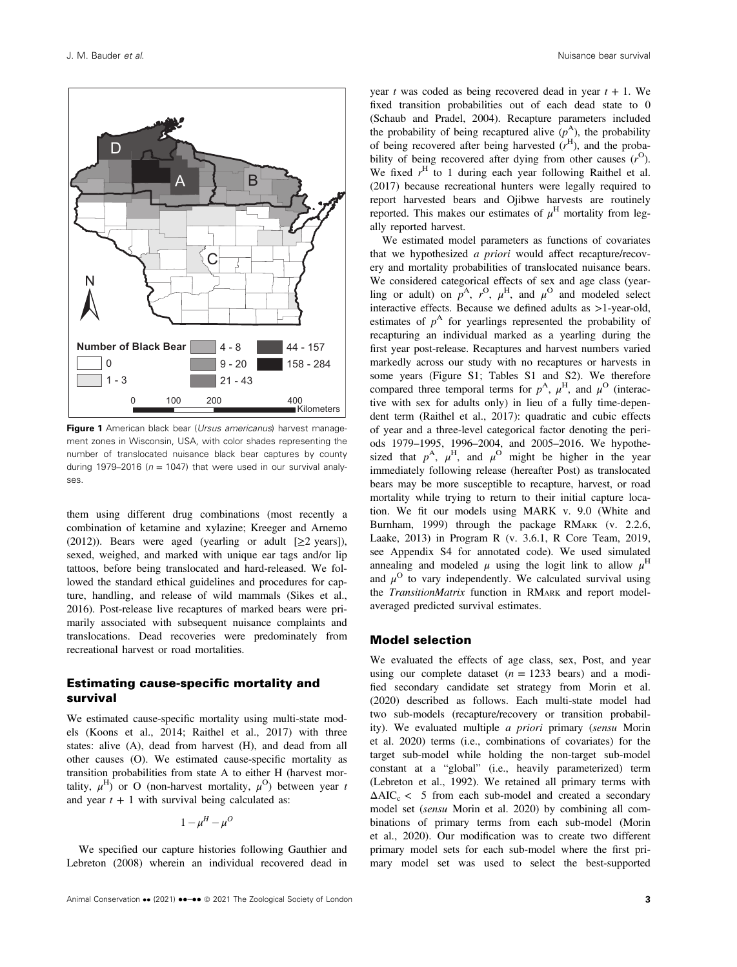

Figure 1 American black bear (Ursus americanus) harvest management zones in Wisconsin, USA, with color shades representing the number of translocated nuisance black bear captures by county during 1979–2016 ( $n = 1047$ ) that were used in our survival analyses.

them using different drug combinations (most recently a combination of ketamine and xylazine; Kreeger and Arnemo (2012)). Bears were aged (yearling or adult  $[≥2 \text{ years}$ ), sexed, weighed, and marked with unique ear tags and/or lip tattoos, before being translocated and hard-released. We followed the standard ethical guidelines and procedures for capture, handling, and release of wild mammals (Sikes et al., 2016). Post-release live recaptures of marked bears were primarily associated with subsequent nuisance complaints and translocations. Dead recoveries were predominately from recreational harvest or road mortalities.

#### Estimating cause-specific mortality and survival

We estimated cause-specific mortality using multi-state models (Koons et al., 2014; Raithel et al., 2017) with three states: alive (A), dead from harvest (H), and dead from all other causes (O). We estimated cause-specific mortality as transition probabilities from state A to either H (harvest mortality,  $\mu^H$ ) or O (non-harvest mortality,  $\mu^O$ ) between year t and year  $t + 1$  with survival being calculated as:

$$
1 - \mu^H - \mu^O
$$

We specified our capture histories following Gauthier and Lebreton (2008) wherein an individual recovered dead in year t was coded as being recovered dead in year  $t + 1$ . We fixed transition probabilities out of each dead state to 0 (Schaub and Pradel, 2004). Recapture parameters included the probability of being recaptured alive  $(p^A)$ , the probability of being recovered after being harvested  $(r<sup>H</sup>)$ , and the probability of being recovered after dying from other causes  $(r^O)$ . We fixed  $r<sup>H</sup>$  to 1 during each year following Raithel et al. (2017) because recreational hunters were legally required to report harvested bears and Ojibwe harvests are routinely reported. This makes our estimates of  $\mu^H$  mortality from legally reported harvest.

We estimated model parameters as functions of covariates that we hypothesized a priori would affect recapture/recovery and mortality probabilities of translocated nuisance bears. We considered categorical effects of sex and age class (yearling or adult) on  $p^A$ ,  $r^O$ ,  $\mu^H$ , and  $\mu^O$  and modeled select interactive effects. Because we defined adults as >1-year-old, estimates of  $p<sup>A</sup>$  for yearlings represented the probability of recapturing an individual marked as a yearling during the first year post-release. Recaptures and harvest numbers varied markedly across our study with no recaptures or harvests in some years (Figure S1; Tables S1 and S2). We therefore compared three temporal terms for  $p^{A}$ ,  $\mu^{H}$ , and  $\mu^{O}$  (interactive with sex for adults only) in lieu of a fully time-dependent term (Raithel et al., 2017): quadratic and cubic effects of year and a three-level categorical factor denoting the periods 1979–1995, 1996–2004, and 2005–2016. We hypothesized that  $p^A$ ,  $\mu^H$ , and  $\mu^O$  might be higher in the year immediately following release (hereafter Post) as translocated bears may be more susceptible to recapture, harvest, or road mortality while trying to return to their initial capture location. We fit our models using MARK v. 9.0 (White and Burnham, 1999) through the package RMARK (v. 2.2.6, Laake, 2013) in Program R (v. 3.6.1, R Core Team, 2019, see Appendix S4 for annotated code). We used simulated annealing and modeled  $\mu$  using the logit link to allow  $\mu^H$ and  $\mu^O$  to vary independently. We calculated survival using the TransitionMatrix function in RMARK and report modelaveraged predicted survival estimates.

#### Model selection

We evaluated the effects of age class, sex, Post, and year using our complete dataset  $(n = 1233$  bears) and a modified secondary candidate set strategy from Morin et al. (2020) described as follows. Each multi-state model had two sub-models (recapture/recovery or transition probability). We evaluated multiple a priori primary (sensu Morin et al. 2020) terms (i.e., combinations of covariates) for the target sub-model while holding the non-target sub-model constant at a "global" (i.e., heavily parameterized) term (Lebreton et al., 1992). We retained all primary terms with  $\Delta AIC_c \leq 5$  from each sub-model and created a secondary model set (sensu Morin et al. 2020) by combining all combinations of primary terms from each sub-model (Morin et al., 2020). Our modification was to create two different primary model sets for each sub-model where the first primary model set was used to select the best-supported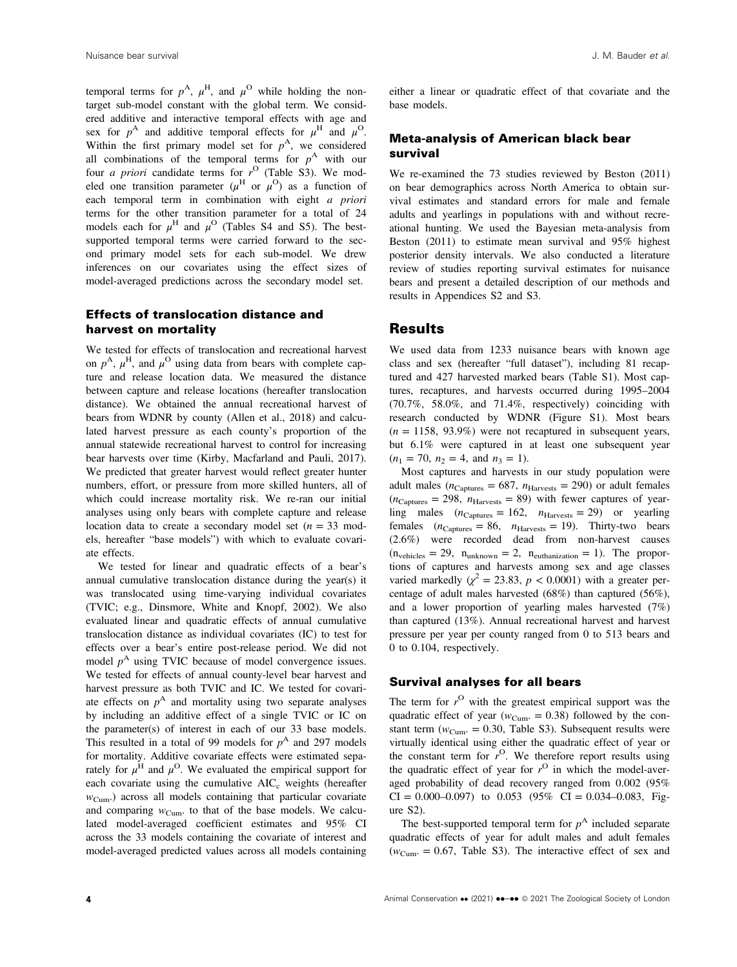temporal terms for  $p^{A}$ ,  $\mu^{H}$ , and  $\mu^{O}$  while holding the nontarget sub-model constant with the global term. We considered additive and interactive temporal effects with age and sex for  $p^A$  and additive temporal effects for  $\mu^H$  and  $\mu^O$ . Within the first primary model set for  $p^{A}$ , we considered all combinations of the temporal terms for  $p<sup>A</sup>$  with our four *a priori* candidate terms for  $r^O$  (Table S3). We modeled one transition parameter  $(\mu^H$  or  $\mu^O)$  as a function of each temporal term in combination with eight a priori terms for the other transition parameter for a total of 24 models each for  $\mu^H$  and  $\mu^O$  (Tables S4 and S5). The bestsupported temporal terms were carried forward to the second primary model sets for each sub-model. We drew inferences on our covariates using the effect sizes of model-averaged predictions across the secondary model set.

#### Effects of translocation distance and harvest on mortality

We tested for effects of translocation and recreational harvest on  $p^{A}$ ,  $\mu^{H}$ , and  $\mu^{O}$  using data from bears with complete capture and release location data. We measured the distance between capture and release locations (hereafter translocation distance). We obtained the annual recreational harvest of bears from WDNR by county (Allen et al., 2018) and calculated harvest pressure as each county's proportion of the annual statewide recreational harvest to control for increasing bear harvests over time (Kirby, Macfarland and Pauli, 2017). We predicted that greater harvest would reflect greater hunter numbers, effort, or pressure from more skilled hunters, all of which could increase mortality risk. We re-ran our initial analyses using only bears with complete capture and release location data to create a secondary model set  $(n = 33 \text{ mod} - 1)$ els, hereafter "base models") with which to evaluate covariate effects.

We tested for linear and quadratic effects of a bear's annual cumulative translocation distance during the year(s) it was translocated using time-varying individual covariates (TVIC; e.g., Dinsmore, White and Knopf, 2002). We also evaluated linear and quadratic effects of annual cumulative translocation distance as individual covariates (IC) to test for effects over a bear's entire post-release period. We did not model  $p<sup>A</sup>$  using TVIC because of model convergence issues. We tested for effects of annual county-level bear harvest and harvest pressure as both TVIC and IC. We tested for covariate effects on  $p<sup>A</sup>$  and mortality using two separate analyses by including an additive effect of a single TVIC or IC on the parameter(s) of interest in each of our 33 base models. This resulted in a total of 99 models for  $p^A$  and 297 models for mortality. Additive covariate effects were estimated separately for  $\mu^H$  and  $\mu^O$ . We evaluated the empirical support for each covariate using the cumulative  $AIC_c$  weights (hereafter  $w_{\text{Cum}}$ ) across all models containing that particular covariate and comparing  $w_{\text{Cum}}$  to that of the base models. We calculated model-averaged coefficient estimates and 95% CI across the 33 models containing the covariate of interest and model-averaged predicted values across all models containing either a linear or quadratic effect of that covariate and the base models.

#### Meta-analysis of American black bear survival

We re-examined the 73 studies reviewed by Beston (2011) on bear demographics across North America to obtain survival estimates and standard errors for male and female adults and yearlings in populations with and without recreational hunting. We used the Bayesian meta-analysis from Beston (2011) to estimate mean survival and 95% highest posterior density intervals. We also conducted a literature review of studies reporting survival estimates for nuisance bears and present a detailed description of our methods and results in Appendices S2 and S3.

#### **Results**

We used data from 1233 nuisance bears with known age class and sex (hereafter "full dataset"), including 81 recaptured and 427 harvested marked bears (Table S1). Most captures, recaptures, and harvests occurred during 1995–2004 (70.7%, 58.0%, and 71.4%, respectively) coinciding with research conducted by WDNR (Figure S1). Most bears  $(n = 1158, 93.9\%)$  were not recaptured in subsequent years, but 6.1% were captured in at least one subsequent year  $(n_1 = 70, n_2 = 4, \text{ and } n_3 = 1).$ 

Most captures and harvests in our study population were adult males ( $n_{\text{Captures}} = 687$ ,  $n_{\text{Harvests}} = 290$ ) or adult females  $(n_{\text{Captures}} = 298, n_{\text{Harvests}} = 89)$  with fewer captures of yearling males  $(n_{Captures} = 162, n_{Harvests} = 29)$  or yearling females  $(n_{\text{Captures}} = 86, n_{\text{Harvests}} = 19)$ . Thirty-two bears (2.6%) were recorded dead from non-harvest causes  $(n_{\text{velicles}} = 29, n_{\text{unknown}} = 2, n_{\text{euthanization}} = 1)$ . The proportions of captures and harvests among sex and age classes varied markedly ( $\chi^2 = 23.83$ ,  $p < 0.0001$ ) with a greater percentage of adult males harvested (68%) than captured (56%), and a lower proportion of yearling males harvested (7%) than captured (13%). Annual recreational harvest and harvest pressure per year per county ranged from 0 to 513 bears and 0 to 0.104, respectively.

#### Survival analyses for all bears

The term for  $r^O$  with the greatest empirical support was the quadratic effect of year ( $w_{\text{Cum}} = 0.38$ ) followed by the constant term ( $w_{\text{Cum}} = 0.30$ , Table S3). Subsequent results were virtually identical using either the quadratic effect of year or the constant term for  $r^O$ . We therefore report results using the quadratic effect of year for  $r^O$  in which the model-averaged probability of dead recovery ranged from 0.002 (95%  $CI = 0.000 - 0.097$  to 0.053 (95%  $CI = 0.034 - 0.083$ , Figure S2).

The best-supported temporal term for  $p<sup>A</sup>$  included separate quadratic effects of year for adult males and adult females  $(w_{Cum.} = 0.67,$  Table S3). The interactive effect of sex and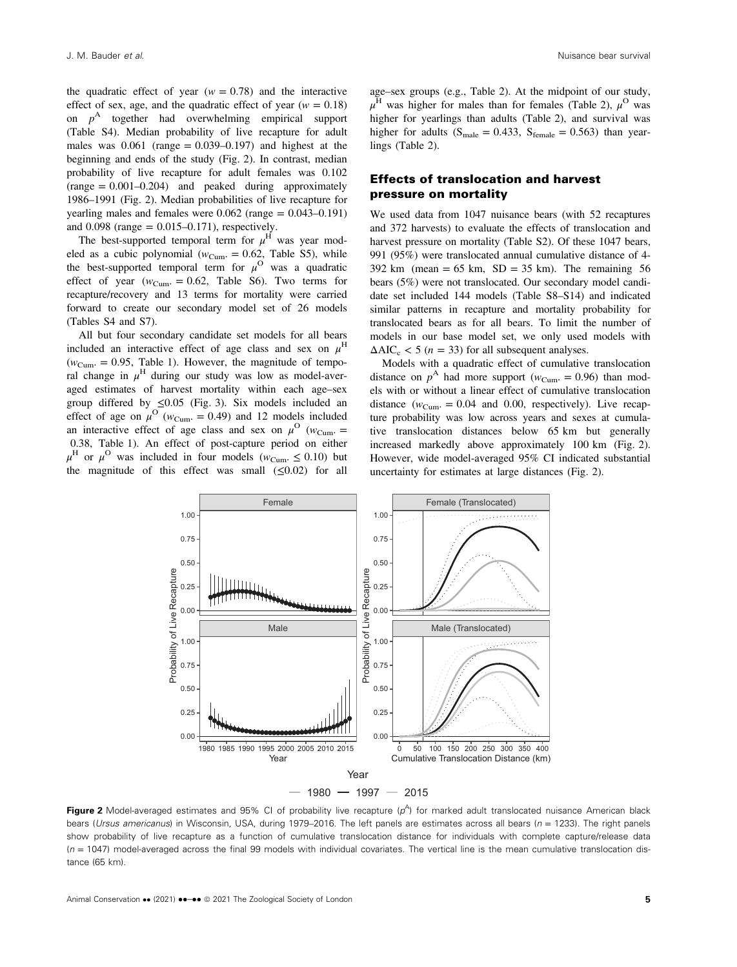the quadratic effect of year ( $w = 0.78$ ) and the interactive effect of sex, age, and the quadratic effect of year ( $w = 0.18$ ) on  $p<sup>A</sup>$  together had overwhelming empirical support (Table S4). Median probability of live recapture for adult males was  $0.061$  (range =  $0.039-0.197$ ) and highest at the beginning and ends of the study (Fig. 2). In contrast, median probability of live recapture for adult females was 0.102  $(range = 0.001 - 0.204)$  and peaked during approximately 1986–1991 (Fig. 2). Median probabilities of live recapture for yearling males and females were  $0.062$  (range  $= 0.043 - 0.191$ ) and  $0.098$  (range =  $0.015 - 0.171$ ), respectively.

The best-supported temporal term for  $\mu^H$  was year modeled as a cubic polynomial ( $w_{Cum} = 0.62$ , Table S5), while the best-supported temporal term for  $\mu^{\rm O}$  was a quadratic effect of year ( $w_{\text{Cum}} = 0.62$ , Table S6). Two terms for recapture/recovery and 13 terms for mortality were carried forward to create our secondary model set of 26 models (Tables S4 and S7).

All but four secondary candidate set models for all bears included an interactive effect of age class and sex on  $\mu$ <sup>H</sup>  $(w_{\text{Cum}} = 0.95, \text{ Table 1})$ . However, the magnitude of temporal change in  $\mu$ <sup>H</sup> during our study was low as model-averaged estimates of harvest mortality within each age–sex group differed by  $\leq 0.05$  (Fig. 3). Six models included an effect of age on  $\mu^{\text{O}}$  ( $w_{\text{Cum}} = 0.49$ ) and 12 models included an interactive effect of age class and sex on  $\mu^{\rm O}$  ( $w_{\rm Cum}$  = 0.38, Table 1). An effect of post-capture period on either  $\mu^{\rm H}$  or  $\mu^{\rm O}$  was included in four models ( $w_{\rm Cum} \leq 0.10$ ) but the magnitude of this effect was small  $(\leq 0.02)$  for all age–sex groups (e.g., Table 2). At the midpoint of our study,  $\mu^H$  was higher for males than for females (Table 2),  $\mu^O$  was higher for yearlings than adults (Table 2), and survival was higher for adults ( $S_{\text{male}} = 0.433$ ,  $S_{\text{female}} = 0.563$ ) than yearlings (Table 2).

#### Effects of translocation and harvest pressure on mortality

We used data from 1047 nuisance bears (with 52 recaptures and 372 harvests) to evaluate the effects of translocation and harvest pressure on mortality (Table S2). Of these 1047 bears, 991 (95%) were translocated annual cumulative distance of 4-  $392 \text{ km}$  (mean = 65 km, SD = 35 km). The remaining 56 bears (5%) were not translocated. Our secondary model candidate set included 144 models (Table S8–S14) and indicated similar patterns in recapture and mortality probability for translocated bears as for all bears. To limit the number of models in our base model set, we only used models with  $\Delta AIC_c < 5$  ( $n = 33$ ) for all subsequent analyses.

Models with a quadratic effect of cumulative translocation distance on  $p^A$  had more support ( $w_{\text{Cum}} = 0.96$ ) than models with or without a linear effect of cumulative translocation distance ( $w_{\text{Cum}} = 0.04$  and 0.00, respectively). Live recapture probability was low across years and sexes at cumulative translocation distances below 65 km but generally increased markedly above approximately 100 km (Fig. 2). However, wide model-averaged 95% CI indicated substantial uncertainty for estimates at large distances (Fig. 2).



Figure 2 Model-averaged estimates and 95% CI of probability live recapture ( $p^A$ ) for marked adult translocated nuisance American black bears (Ursus americanus) in Wisconsin, USA, during 1979–2016. The left panels are estimates across all bears ( $n = 1233$ ). The right panels show probability of live recapture as a function of cumulative translocation distance for individuals with complete capture/release data  $(n = 1047)$  model-averaged across the final 99 models with individual covariates. The vertical line is the mean cumulative translocation distance (65 km).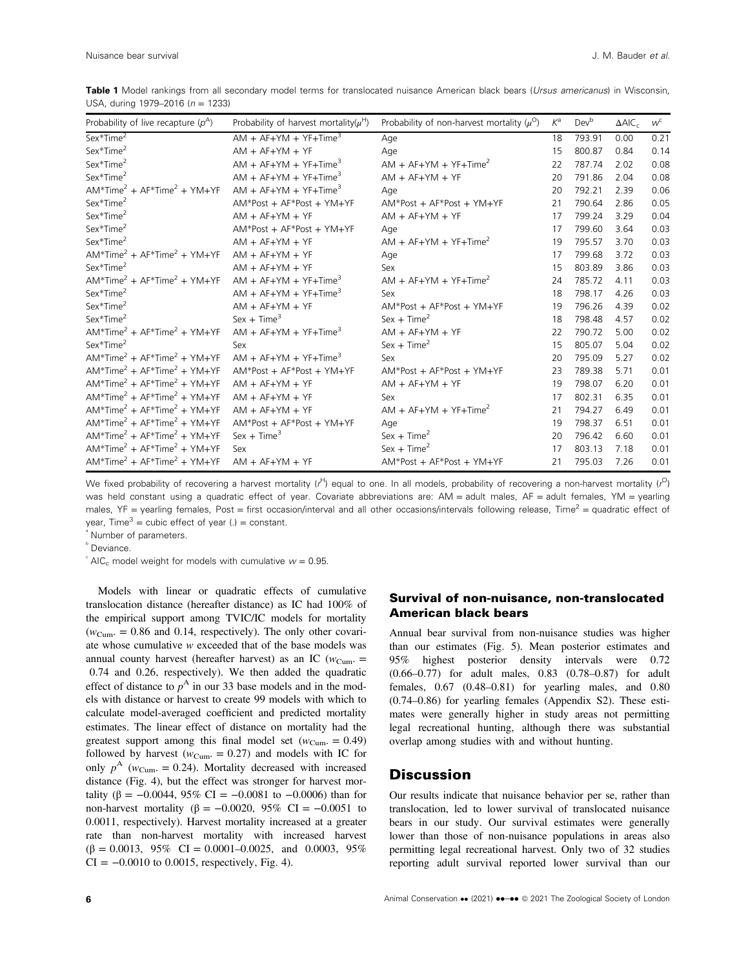|  |                                  |  |  |  | Table 1 Model rankings from all secondary model terms for translocated nuisance American black bears (Ursus americanus) in Wisconsin |  |  |  |  |
|--|----------------------------------|--|--|--|--------------------------------------------------------------------------------------------------------------------------------------|--|--|--|--|
|  | USA, during 1979–2016 (n = 1233) |  |  |  |                                                                                                                                      |  |  |  |  |
|  |                                  |  |  |  |                                                                                                                                      |  |  |  |  |

| Probability of live recapture $(p^A)$ | Probability of harvest mortality $(\mu^H)$ | Probability of non-harvest mortality $(\mu^O)$ | $K^a$ | Dev <sup>b</sup> | $\Delta AIC_c$ | w    |
|---------------------------------------|--------------------------------------------|------------------------------------------------|-------|------------------|----------------|------|
| $Sex*Time2$                           | $AM + AF+YM + YF+Time^3$                   | Age                                            | 18    | 793.91           | 0.00           | 0.21 |
| Sex*Time <sup>2</sup>                 | $AM + AF+YM + YF$                          | Age                                            | 15    | 800.87           | 0.84           | 0.14 |
| Sex*Time <sup>2</sup>                 | $AM + AF+YM + YF+Time^3$                   | $AM + AF+YM + YF+Time^2$                       | 22    | 787.74           | 2.02           | 0.08 |
| Sex*Time <sup>2</sup>                 | $AM + AF+YM + YF+Time^3$                   | $AM + AF+YM + YF$                              | 20    | 791.86           | 2.04           | 0.08 |
| $AM*Time2 + AF*Time2 + YM+YF$         | $AM + AF+YM + YF+Time^3$                   | Age                                            | 20    | 792.21           | 2.39           | 0.06 |
| Sex*Time <sup>2</sup>                 | AM*Post + AF*Post + YM+YF                  | AM*Post + AF*Post + YM+YF                      | 21    | 790.64           | 2.86           | 0.05 |
| Sex*Time <sup>2</sup>                 | $AM + AF+YM + YF$                          | $AM + AF+YM + YF$                              | 17    | 799.24           | 3.29           | 0.04 |
| Sex*Time <sup>2</sup>                 | $AM*Post + AF*Post + YM+YF$                | Age                                            | 17    | 799.60           | 3.64           | 0.03 |
| Sex*Time <sup>2</sup>                 | $AM + AF+YM + YF$                          | $AM + AF+YM + YF+Time^2$                       | 19    | 795.57           | 3.70           | 0.03 |
| $AM*Time2 + AF*Time2 + YM+YF$         | $AM + AF+YM + YF$                          | Age                                            | 17    | 799.68           | 3.72           | 0.03 |
| Sex*Time <sup>2</sup>                 | $AM + AF+YM + YF$                          | Sex                                            | 15    | 803.89           | 3.86           | 0.03 |
| $AM*Time2 + AF*Time2 + YM+YF$         | $AM + AF+YM + YF+Time^3$                   | $AM + AF+YM + YF+Time^2$                       | 24    | 785.72           | 4.11           | 0.03 |
| Sex*Time <sup>2</sup>                 | $AM + AF+YM + YF+Time^3$                   | Sex                                            | 18    | 798.17           | 4.26           | 0.03 |
| Sex*Time <sup>2</sup>                 | $AM + AF+YM + YF$                          | $AM*Post + AF*Post + YM+YF$                    | 19    | 796.26           | 4.39           | 0.02 |
| Sex*Time <sup>2</sup>                 | Sex + Time <sup>3</sup>                    | Sex + Time <sup>2</sup>                        | 18    | 798.48           | 4.57           | 0.02 |
| $AM*Time2 + AF*Time2 + YM+YF$         | $AM + AF+YM + YF+Time^3$                   | $AM + AF+YM + YF$                              | 22    | 790.72           | 5.00           | 0.02 |
| $Sex*Time2$                           | Sex                                        | Sex + Time <sup>2</sup>                        | 15    | 805.07           | 5.04           | 0.02 |
| $AM*Time2 + AF*Time2 + YM+YF$         | $AM + AF+YM + YF+Time^3$                   | Sex                                            | 20    | 795.09           | 5.27           | 0.02 |
| $AM*Time2 + AF*Time2 + YM+YF$         | AM*Post + AF*Post + YM+YF                  | $AM*Post + AF*Post + YM+YF$                    | 23    | 789.38           | 5.71           | 0.01 |
| $AM*Time2 + AF*Time2 + YM+YF$         | $AM + AF+YM + YF$                          | $AM + AF+YM + YF$                              | 19    | 798.07           | 6.20           | 0.01 |
| $AM*Time2 + AF*Time2 + YM+YF$         | $AM + AF+YM + YF$                          | Sex                                            | 17    | 802.31           | 6.35           | 0.01 |
| $AM*Time2 + AF*Time2 + YM+YF$         | $AM + AF+YM + YF$                          | $AM + AF+YM + YF+Time^2$                       | 21    | 794.27           | 6.49           | 0.01 |
| $AM*Time2 + AF*Time2 + YM+YF$         | $AM*Post + AF*Post + YM+YF$                | Age                                            | 19    | 798.37           | 6.51           | 0.01 |
| $AM*Time2 + AF*Time2 + YM+YF$         | Sex + $Time3$                              | $Sex + Time2$                                  | 20    | 796.42           | 6.60           | 0.01 |
| $AM*Time2 + AF*Time2 + YM+YF$         | Sex                                        | Sex + $Time2$                                  | 17    | 803.13           | 7.18           | 0.01 |
| $AM*Time2 + AF*Time2 + YM+YF$         | $AM + AF+YM + YF$                          | AM*Post + AF*Post + YM+YF                      | 21    | 795.03           | 7.26           | 0.01 |

We fixed probability of recovering a harvest mortality ( $t^{\mathsf{H}}$ ) equal to one. In all models, probability of recovering a non-harvest mortality ( $t^{\mathsf{O}}$ ) was held constant using a quadratic effect of year. Covariate abbreviations are: AM = adult males, AF = adult females, YM = yearling males, YF = yearling females, Post = first occasion/interval and all other occasions/intervals following release, Time<sup>2</sup> = quadratic effect of year, Time<sup>3</sup> = cubic effect of year  $(.)$  = constant.

a Number of parameters.

b Deviance.

 $\textdegree$  AIC<sub>c</sub> model weight for models with cumulative  $w = 0.95$ .

Models with linear or quadratic effects of cumulative translocation distance (hereafter distance) as IC had 100% of the empirical support among TVIC/IC models for mortality  $(w_{\text{Cum}} = 0.86$  and 0.14, respectively). The only other covariate whose cumulative w exceeded that of the base models was annual county harvest (hereafter harvest) as an IC ( $w_{\text{Cum}}$ . 0.74 and 0.26, respectively). We then added the quadratic effect of distance to  $p^A$  in our 33 base models and in the models with distance or harvest to create 99 models with which to calculate model-averaged coefficient and predicted mortality estimates. The linear effect of distance on mortality had the greatest support among this final model set ( $w_{\text{Cum}} = 0.49$ ) followed by harvest ( $w_{\text{Cum}} = 0.27$ ) and models with IC for only  $p^A$  ( $w_{\text{Cum}} = 0.24$ ). Mortality decreased with increased distance (Fig. 4), but the effect was stronger for harvest mortality (β =  $-0.0044$ , 95% CI =  $-0.0081$  to  $-0.0006$ ) than for non-harvest mortality ( $\beta = -0.0020$ , 95% CI = -0.0051 to 0.0011, respectively). Harvest mortality increased at a greater rate than non-harvest mortality with increased harvest  $(\beta = 0.0013, 95\% \text{ CI} = 0.0001 - 0.0025, \text{ and } 0.0003, 95\%$  $CI = -0.0010$  to 0.0015, respectively, Fig. 4).

#### Survival of non-nuisance, non-translocated American black bears

Annual bear survival from non-nuisance studies was higher than our estimates (Fig. 5). Mean posterior estimates and 95% highest posterior density intervals were 0.72 (0.66–0.77) for adult males, 0.83 (0.78–0.87) for adult females, 0.67 (0.48–0.81) for yearling males, and 0.80 (0.74–0.86) for yearling females (Appendix S2). These estimates were generally higher in study areas not permitting legal recreational hunting, although there was substantial overlap among studies with and without hunting.

#### **Discussion**

Our results indicate that nuisance behavior per se, rather than translocation, led to lower survival of translocated nuisance bears in our study. Our survival estimates were generally lower than those of non-nuisance populations in areas also permitting legal recreational harvest. Only two of 32 studies reporting adult survival reported lower survival than our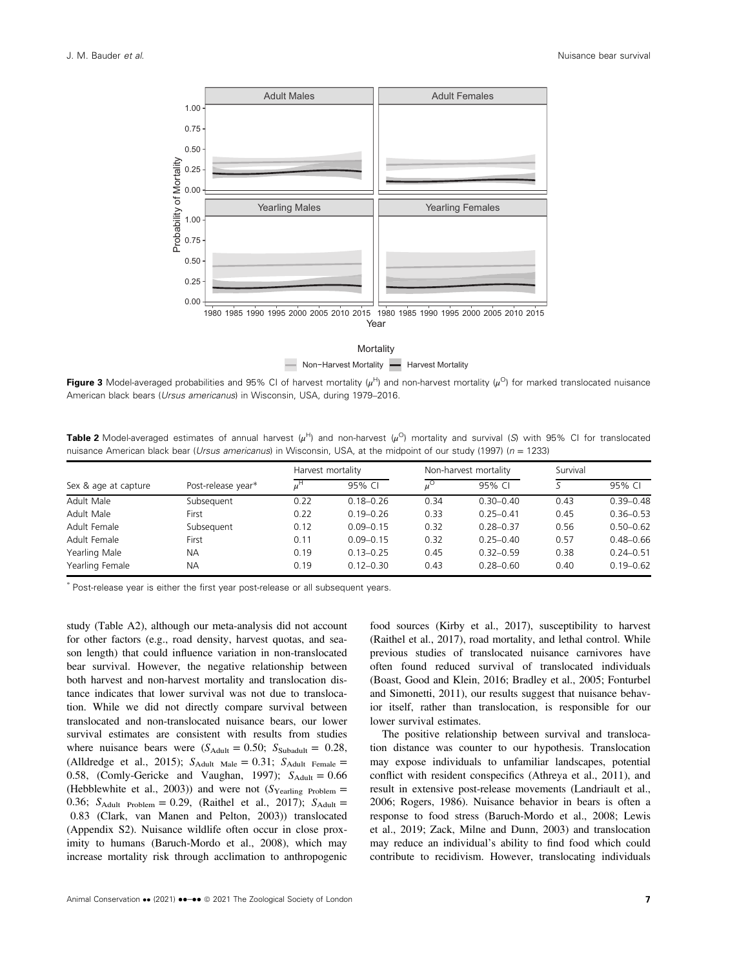

Non−Harvest Mortality — Harvest Mortality

Figure 3 Model-averaged probabilities and 95% CI of harvest mortality  $(\mu^{H})$  and non-harvest mortality  $(\mu^{O})$  for marked translocated nuisance American black bears (Ursus americanus) in Wisconsin, USA, during 1979–2016.

**Table 2** Model-averaged estimates of annual harvest  $(\mu^H)$  and non-harvest  $(\mu^O)$  mortality and survival (S) with 95% CI for translocated nuisance American black bear (Ursus americanus) in Wisconsin, USA, at the midpoint of our study (1997) ( $n = 1233$ )

|                      |                    | Harvest mortality  |               |             | Non-harvest mortality | Survival |               |  |
|----------------------|--------------------|--------------------|---------------|-------------|-----------------------|----------|---------------|--|
| Sex & age at capture | Post-release year* | $\mu^{\mathsf{H}}$ | 95% CL        | $u^{\circ}$ | 95% CL                |          | 95% CL        |  |
| Adult Male           | Subsequent         | 0.22               | $0.18 - 0.26$ | 0.34        | $0.30 - 0.40$         | 0.43     | $0.39 - 0.48$ |  |
| Adult Male           | First              | 0.22               | $0.19 - 0.26$ | 0.33        | $0.25 - 0.41$         | 0.45     | $0.36 - 0.53$ |  |
| Adult Female         | Subsequent         | 0.12               | $0.09 - 0.15$ | 0.32        | $0.28 - 0.37$         | 0.56     | $0.50 - 0.62$ |  |
| Adult Female         | First              | 0.11               | $0.09 - 0.15$ | 0.32        | $0.25 - 0.40$         | 0.57     | $0.48 - 0.66$ |  |
| Yearling Male        | NA.                | 0.19               | $0.13 - 0.25$ | 0.45        | $0.32 - 0.59$         | 0.38     | $0.24 - 0.51$ |  |
| Yearling Female      | <b>NA</b>          | 0.19               | $0.12 - 0.30$ | 0.43        | $0.28 - 0.60$         | 0.40     | $0.19 - 0.62$ |  |

\* Post-release year is either the first year post-release or all subsequent years.

study (Table A2), although our meta-analysis did not account for other factors (e.g., road density, harvest quotas, and season length) that could influence variation in non-translocated bear survival. However, the negative relationship between both harvest and non-harvest mortality and translocation distance indicates that lower survival was not due to translocation. While we did not directly compare survival between translocated and non-translocated nuisance bears, our lower survival estimates are consistent with results from studies where nuisance bears were  $(S_{\text{Adult}} = 0.50; S_{\text{Subadult}} = 0.28,$ (Alldredge et al., 2015);  $S_{\text{Adult Male}} = 0.31$ ;  $S_{\text{Adult Female}} =$ 0.58, (Comly-Gericke and Vaughan, 1997);  $S_{\text{Adult}} = 0.66$ (Hebblewhite et al., 2003)) and were not  $(S_{\text{Yearling Problem}} =$ 0.36;  $S_{\text{Adult}}$  Problem = 0.29, (Raithel et al., 2017);  $S_{\text{Adult}}$  = 0.83 (Clark, van Manen and Pelton, 2003)) translocated (Appendix S2). Nuisance wildlife often occur in close proximity to humans (Baruch-Mordo et al., 2008), which may increase mortality risk through acclimation to anthropogenic food sources (Kirby et al., 2017), susceptibility to harvest (Raithel et al., 2017), road mortality, and lethal control. While previous studies of translocated nuisance carnivores have often found reduced survival of translocated individuals (Boast, Good and Klein, 2016; Bradley et al., 2005; Fonturbel and Simonetti, 2011), our results suggest that nuisance behavior itself, rather than translocation, is responsible for our lower survival estimates.

The positive relationship between survival and translocation distance was counter to our hypothesis. Translocation may expose individuals to unfamiliar landscapes, potential conflict with resident conspecifics (Athreya et al., 2011), and result in extensive post-release movements (Landriault et al., 2006; Rogers, 1986). Nuisance behavior in bears is often a response to food stress (Baruch-Mordo et al., 2008; Lewis et al., 2019; Zack, Milne and Dunn, 2003) and translocation may reduce an individual's ability to find food which could contribute to recidivism. However, translocating individuals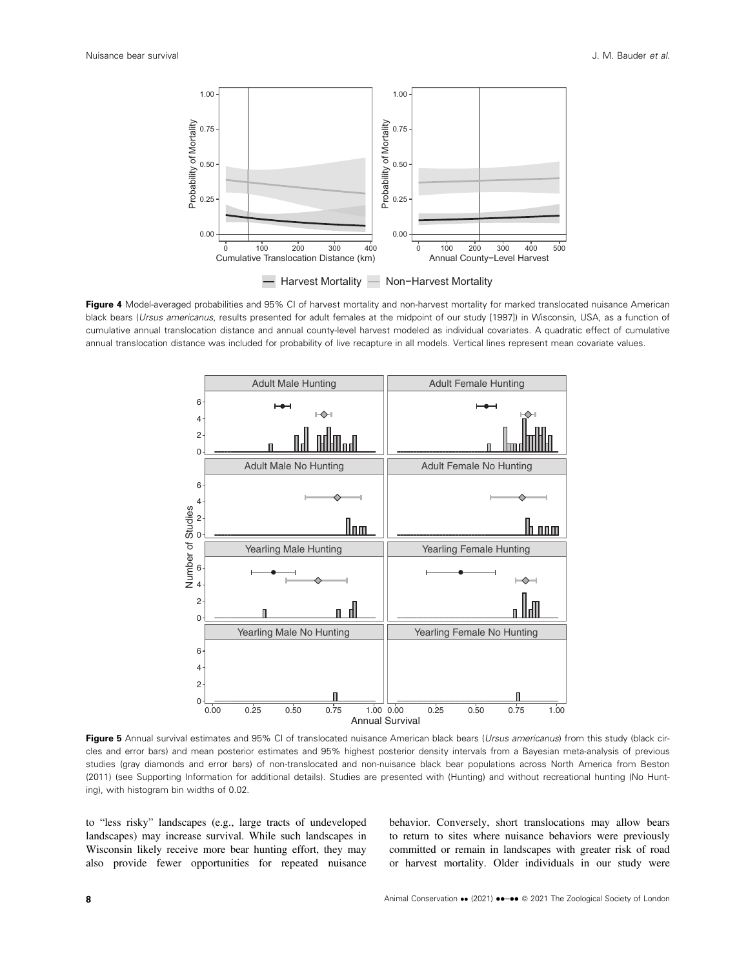

Figure 4 Model-averaged probabilities and 95% CI of harvest mortality and non-harvest mortality for marked translocated nuisance American black bears (Ursus americanus, results presented for adult females at the midpoint of our study [1997]) in Wisconsin, USA, as a function of cumulative annual translocation distance and annual county-level harvest modeled as individual covariates. A quadratic effect of cumulative annual translocation distance was included for probability of live recapture in all models. Vertical lines represent mean covariate values.



Figure 5 Annual survival estimates and 95% CI of translocated nuisance American black bears (Ursus americanus) from this study (black circles and error bars) and mean posterior estimates and 95% highest posterior density intervals from a Bayesian meta-analysis of previous studies (gray diamonds and error bars) of non-translocated and non-nuisance black bear populations across North America from Beston (2011) (see Supporting Information for additional details). Studies are presented with (Hunting) and without recreational hunting (No Hunting), with histogram bin widths of 0.02.

to "less risky" landscapes (e.g., large tracts of undeveloped landscapes) may increase survival. While such landscapes in Wisconsin likely receive more bear hunting effort, they may also provide fewer opportunities for repeated nuisance behavior. Conversely, short translocations may allow bears to return to sites where nuisance behaviors were previously committed or remain in landscapes with greater risk of road or harvest mortality. Older individuals in our study were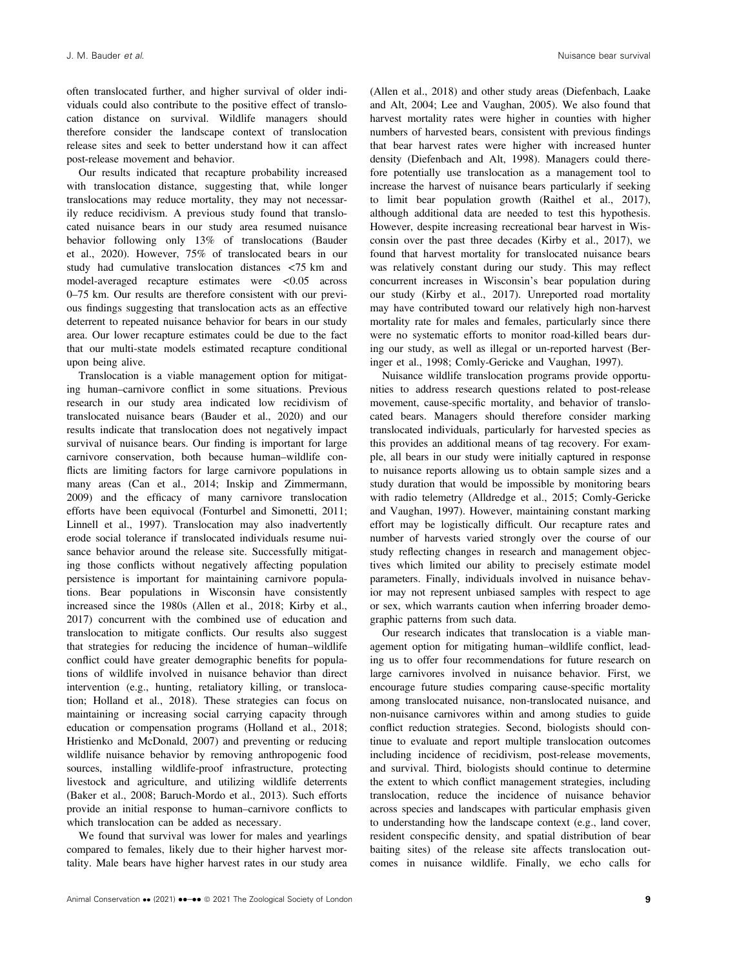often translocated further, and higher survival of older individuals could also contribute to the positive effect of translocation distance on survival. Wildlife managers should therefore consider the landscape context of translocation release sites and seek to better understand how it can affect post-release movement and behavior.

Our results indicated that recapture probability increased with translocation distance, suggesting that, while longer translocations may reduce mortality, they may not necessarily reduce recidivism. A previous study found that translocated nuisance bears in our study area resumed nuisance behavior following only 13% of translocations (Bauder et al., 2020). However, 75% of translocated bears in our study had cumulative translocation distances <75 km and model-averaged recapture estimates were <0.05 across 0–75 km. Our results are therefore consistent with our previous findings suggesting that translocation acts as an effective deterrent to repeated nuisance behavior for bears in our study area. Our lower recapture estimates could be due to the fact that our multi-state models estimated recapture conditional upon being alive.

Translocation is a viable management option for mitigating human–carnivore conflict in some situations. Previous research in our study area indicated low recidivism of translocated nuisance bears (Bauder et al., 2020) and our results indicate that translocation does not negatively impact survival of nuisance bears. Our finding is important for large carnivore conservation, both because human–wildlife conflicts are limiting factors for large carnivore populations in many areas (Can et al., 2014; Inskip and Zimmermann, 2009) and the efficacy of many carnivore translocation efforts have been equivocal (Fonturbel and Simonetti, 2011; Linnell et al., 1997). Translocation may also inadvertently erode social tolerance if translocated individuals resume nuisance behavior around the release site. Successfully mitigating those conflicts without negatively affecting population persistence is important for maintaining carnivore populations. Bear populations in Wisconsin have consistently increased since the 1980s (Allen et al., 2018; Kirby et al., 2017) concurrent with the combined use of education and translocation to mitigate conflicts. Our results also suggest that strategies for reducing the incidence of human–wildlife conflict could have greater demographic benefits for populations of wildlife involved in nuisance behavior than direct intervention (e.g., hunting, retaliatory killing, or translocation; Holland et al., 2018). These strategies can focus on maintaining or increasing social carrying capacity through education or compensation programs (Holland et al., 2018; Hristienko and McDonald, 2007) and preventing or reducing wildlife nuisance behavior by removing anthropogenic food sources, installing wildlife-proof infrastructure, protecting livestock and agriculture, and utilizing wildlife deterrents (Baker et al., 2008; Baruch-Mordo et al., 2013). Such efforts provide an initial response to human–carnivore conflicts to which translocation can be added as necessary.

We found that survival was lower for males and yearlings compared to females, likely due to their higher harvest mortality. Male bears have higher harvest rates in our study area (Allen et al., 2018) and other study areas (Diefenbach, Laake and Alt, 2004; Lee and Vaughan, 2005). We also found that harvest mortality rates were higher in counties with higher numbers of harvested bears, consistent with previous findings that bear harvest rates were higher with increased hunter density (Diefenbach and Alt, 1998). Managers could therefore potentially use translocation as a management tool to increase the harvest of nuisance bears particularly if seeking to limit bear population growth (Raithel et al., 2017), although additional data are needed to test this hypothesis. However, despite increasing recreational bear harvest in Wisconsin over the past three decades (Kirby et al., 2017), we found that harvest mortality for translocated nuisance bears was relatively constant during our study. This may reflect concurrent increases in Wisconsin's bear population during our study (Kirby et al., 2017). Unreported road mortality may have contributed toward our relatively high non-harvest mortality rate for males and females, particularly since there were no systematic efforts to monitor road-killed bears during our study, as well as illegal or un-reported harvest (Beringer et al., 1998; Comly-Gericke and Vaughan, 1997).

Nuisance wildlife translocation programs provide opportunities to address research questions related to post-release movement, cause-specific mortality, and behavior of translocated bears. Managers should therefore consider marking translocated individuals, particularly for harvested species as this provides an additional means of tag recovery. For example, all bears in our study were initially captured in response to nuisance reports allowing us to obtain sample sizes and a study duration that would be impossible by monitoring bears with radio telemetry (Alldredge et al., 2015; Comly-Gericke and Vaughan, 1997). However, maintaining constant marking effort may be logistically difficult. Our recapture rates and number of harvests varied strongly over the course of our study reflecting changes in research and management objectives which limited our ability to precisely estimate model parameters. Finally, individuals involved in nuisance behavior may not represent unbiased samples with respect to age or sex, which warrants caution when inferring broader demographic patterns from such data.

Our research indicates that translocation is a viable management option for mitigating human–wildlife conflict, leading us to offer four recommendations for future research on large carnivores involved in nuisance behavior. First, we encourage future studies comparing cause-specific mortality among translocated nuisance, non-translocated nuisance, and non-nuisance carnivores within and among studies to guide conflict reduction strategies. Second, biologists should continue to evaluate and report multiple translocation outcomes including incidence of recidivism, post-release movements, and survival. Third, biologists should continue to determine the extent to which conflict management strategies, including translocation, reduce the incidence of nuisance behavior across species and landscapes with particular emphasis given to understanding how the landscape context (e.g., land cover, resident conspecific density, and spatial distribution of bear baiting sites) of the release site affects translocation outcomes in nuisance wildlife. Finally, we echo calls for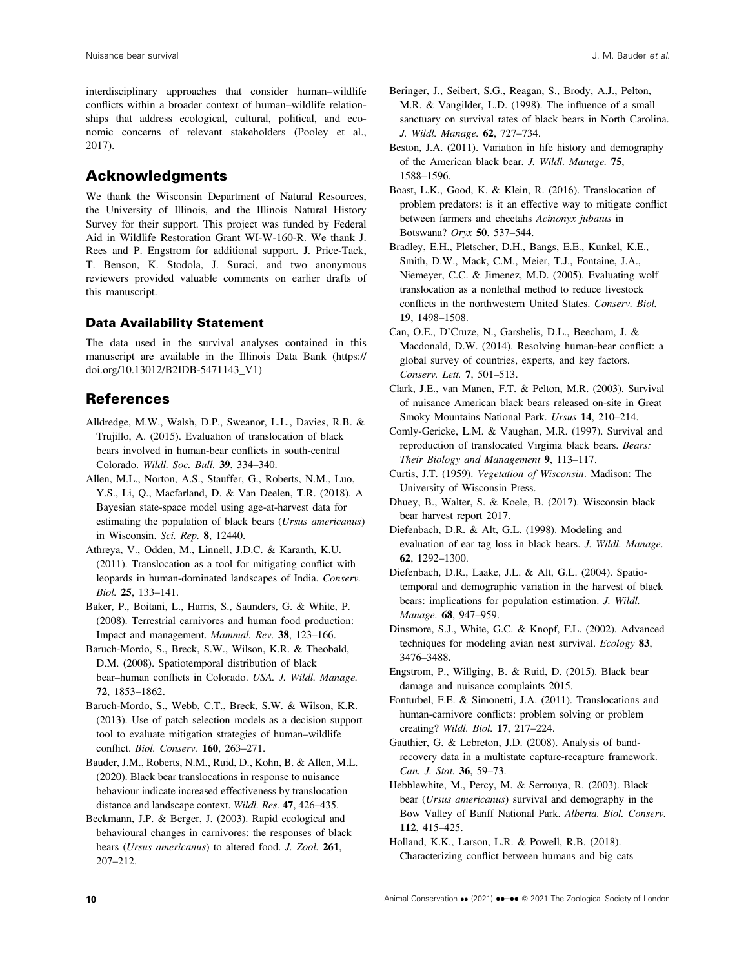interdisciplinary approaches that consider human–wildlife conflicts within a broader context of human–wildlife relationships that address ecological, cultural, political, and economic concerns of relevant stakeholders (Pooley et al., 2017).

### Acknowledgments

We thank the Wisconsin Department of Natural Resources, the University of Illinois, and the Illinois Natural History Survey for their support. This project was funded by Federal Aid in Wildlife Restoration Grant WI-W-160-R. We thank J. Rees and P. Engstrom for additional support. J. Price-Tack, T. Benson, K. Stodola, J. Suraci, and two anonymous reviewers provided valuable comments on earlier drafts of this manuscript.

#### Data Availability Statement

The data used in the survival analyses contained in this manuscript are available in the Illinois Data Bank ([https://](https://doi.org/10.13012/B2IDB-5471143_V1) [doi.org/10.13012/B2IDB-5471143\\_V1\)](https://doi.org/10.13012/B2IDB-5471143_V1)

#### References

- Alldredge, M.W., Walsh, D.P., Sweanor, L.L., Davies, R.B. & Trujillo, A. (2015). Evaluation of translocation of black bears involved in human-bear conflicts in south-central Colorado. Wildl. Soc. Bull. 39, 334–340.
- Allen, M.L., Norton, A.S., Stauffer, G., Roberts, N.M., Luo, Y.S., Li, Q., Macfarland, D. & Van Deelen, T.R. (2018). A Bayesian state-space model using age-at-harvest data for estimating the population of black bears (Ursus americanus) in Wisconsin. Sci. Rep. 8, 12440.
- Athreya, V., Odden, M., Linnell, J.D.C. & Karanth, K.U. (2011). Translocation as a tool for mitigating conflict with leopards in human-dominated landscapes of India. Conserv. Biol. 25, 133–141.
- Baker, P., Boitani, L., Harris, S., Saunders, G. & White, P. (2008). Terrestrial carnivores and human food production: Impact and management. Mammal. Rev. 38, 123–166.
- Baruch-Mordo, S., Breck, S.W., Wilson, K.R. & Theobald, D.M. (2008). Spatiotemporal distribution of black bear–human conflicts in Colorado. USA. J. Wildl. Manage. 72, 1853–1862.
- Baruch-Mordo, S., Webb, C.T., Breck, S.W. & Wilson, K.R. (2013). Use of patch selection models as a decision support tool to evaluate mitigation strategies of human–wildlife conflict. Biol. Conserv. 160, 263–271.
- Bauder, J.M., Roberts, N.M., Ruid, D., Kohn, B. & Allen, M.L. (2020). Black bear translocations in response to nuisance behaviour indicate increased effectiveness by translocation distance and landscape context. Wildl. Res. 47, 426–435.
- Beckmann, J.P. & Berger, J. (2003). Rapid ecological and behavioural changes in carnivores: the responses of black bears (Ursus americanus) to altered food. J. Zool. 261, 207–212.
- Beringer, J., Seibert, S.G., Reagan, S., Brody, A.J., Pelton, M.R. & Vangilder, L.D. (1998). The influence of a small sanctuary on survival rates of black bears in North Carolina. J. Wildl. Manage. 62, 727–734.
- Beston, J.A. (2011). Variation in life history and demography of the American black bear. J. Wildl. Manage. 75, 1588–1596.
- Boast, L.K., Good, K. & Klein, R. (2016). Translocation of problem predators: is it an effective way to mitigate conflict between farmers and cheetahs Acinonyx jubatus in Botswana? Oryx 50, 537–544.
- Bradley, E.H., Pletscher, D.H., Bangs, E.E., Kunkel, K.E., Smith, D.W., Mack, C.M., Meier, T.J., Fontaine, J.A., Niemeyer, C.C. & Jimenez, M.D. (2005). Evaluating wolf translocation as a nonlethal method to reduce livestock conflicts in the northwestern United States. Conserv. Biol. 19, 1498–1508.
- Can, O.E., D'Cruze, N., Garshelis, D.L., Beecham, J. & Macdonald, D.W. (2014). Resolving human-bear conflict: a global survey of countries, experts, and key factors. Conserv. Lett. 7, 501–513.
- Clark, J.E., van Manen, F.T. & Pelton, M.R. (2003). Survival of nuisance American black bears released on-site in Great Smoky Mountains National Park. Ursus 14, 210–214.
- Comly-Gericke, L.M. & Vaughan, M.R. (1997). Survival and reproduction of translocated Virginia black bears. Bears: Their Biology and Management 9, 113–117.
- Curtis, J.T. (1959). Vegetation of Wisconsin. Madison: The University of Wisconsin Press.
- Dhuey, B., Walter, S. & Koele, B. (2017). Wisconsin black bear harvest report 2017.
- Diefenbach, D.R. & Alt, G.L. (1998). Modeling and evaluation of ear tag loss in black bears. J. Wildl. Manage. 62, 1292–1300.
- Diefenbach, D.R., Laake, J.L. & Alt, G.L. (2004). Spatiotemporal and demographic variation in the harvest of black bears: implications for population estimation. J. Wildl. Manage. 68, 947–959.
- Dinsmore, S.J., White, G.C. & Knopf, F.L. (2002). Advanced techniques for modeling avian nest survival. Ecology 83, 3476–3488.
- Engstrom, P., Willging, B. & Ruid, D. (2015). Black bear damage and nuisance complaints 2015.
- Fonturbel, F.E. & Simonetti, J.A. (2011). Translocations and human-carnivore conflicts: problem solving or problem creating? Wildl. Biol. 17, 217–224.
- Gauthier, G. & Lebreton, J.D. (2008). Analysis of bandrecovery data in a multistate capture-recapture framework. Can. J. Stat. 36, 59–73.
- Hebblewhite, M., Percy, M. & Serrouya, R. (2003). Black bear (Ursus americanus) survival and demography in the Bow Valley of Banff National Park. Alberta. Biol. Conserv. 112, 415–425.
- Holland, K.K., Larson, L.R. & Powell, R.B. (2018). Characterizing conflict between humans and big cats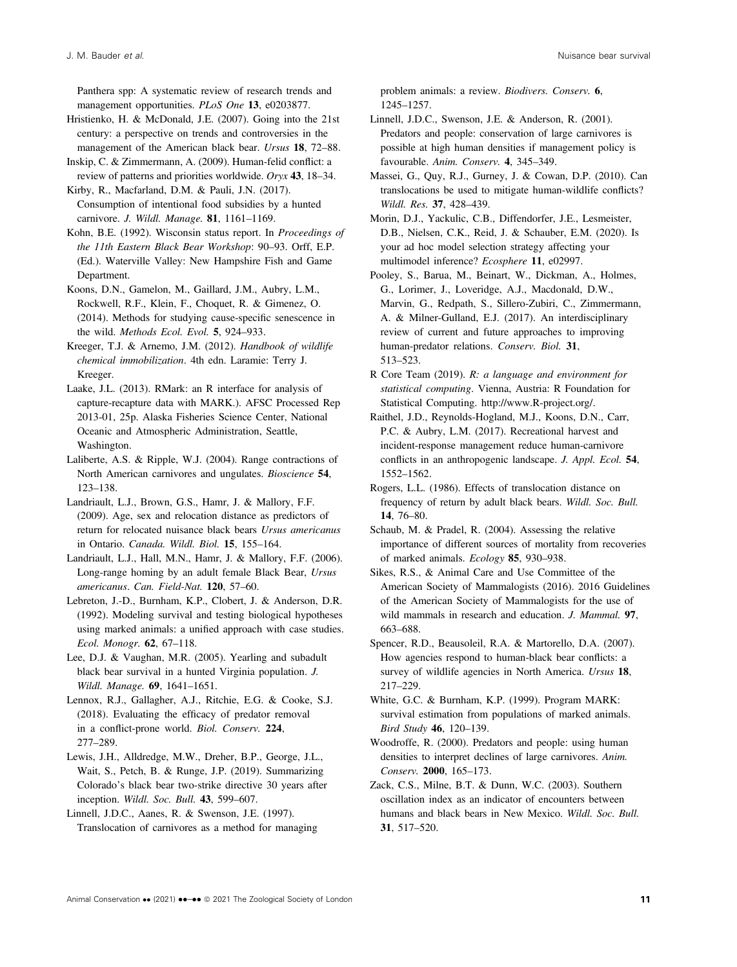Panthera spp: A systematic review of research trends and management opportunities. PLoS One 13, e0203877.

Hristienko, H. & McDonald, J.E. (2007). Going into the 21st century: a perspective on trends and controversies in the management of the American black bear. Ursus 18, 72–88.

Inskip, C. & Zimmermann, A. (2009). Human-felid conflict: a review of patterns and priorities worldwide. Oryx 43, 18–34.

Kirby, R., Macfarland, D.M. & Pauli, J.N. (2017). Consumption of intentional food subsidies by a hunted carnivore. J. Wildl. Manage. 81, 1161–1169.

Kohn, B.E. (1992). Wisconsin status report. In Proceedings of the 11th Eastern Black Bear Workshop: 90–93. Orff, E.P. (Ed.). Waterville Valley: New Hampshire Fish and Game Department.

Koons, D.N., Gamelon, M., Gaillard, J.M., Aubry, L.M., Rockwell, R.F., Klein, F., Choquet, R. & Gimenez, O. (2014). Methods for studying cause-specific senescence in the wild. Methods Ecol. Evol. 5, 924–933.

Kreeger, T.J. & Arnemo, J.M. (2012). Handbook of wildlife chemical immobilization. 4th edn. Laramie: Terry J. Kreeger.

Laake, J.L. (2013). RMark: an R interface for analysis of capture-recapture data with MARK.). AFSC Processed Rep 2013-01, 25p. Alaska Fisheries Science Center, National Oceanic and Atmospheric Administration, Seattle, Washington.

Laliberte, A.S. & Ripple, W.J. (2004). Range contractions of North American carnivores and ungulates. Bioscience 54, 123–138.

Landriault, L.J., Brown, G.S., Hamr, J. & Mallory, F.F. (2009). Age, sex and relocation distance as predictors of return for relocated nuisance black bears Ursus americanus in Ontario. Canada. Wildl. Biol. 15, 155–164.

Landriault, L.J., Hall, M.N., Hamr, J. & Mallory, F.F. (2006). Long-range homing by an adult female Black Bear, Ursus americanus. Can. Field-Nat. 120, 57–60.

Lebreton, J.-D., Burnham, K.P., Clobert, J. & Anderson, D.R. (1992). Modeling survival and testing biological hypotheses using marked animals: a unified approach with case studies. Ecol. Monogr. 62, 67–118.

Lee, D.J. & Vaughan, M.R. (2005). Yearling and subadult black bear survival in a hunted Virginia population. J. Wildl. Manage. 69, 1641–1651.

Lennox, R.J., Gallagher, A.J., Ritchie, E.G. & Cooke, S.J. (2018). Evaluating the efficacy of predator removal in a conflict-prone world. Biol. Conserv. 224, 277–289.

Lewis, J.H., Alldredge, M.W., Dreher, B.P., George, J.L., Wait, S., Petch, B. & Runge, J.P. (2019). Summarizing Colorado's black bear two-strike directive 30 years after inception. Wildl. Soc. Bull. 43, 599–607.

Linnell, J.D.C., Aanes, R. & Swenson, J.E. (1997). Translocation of carnivores as a method for managing problem animals: a review. Biodivers. Conserv. 6, 1245–1257.

- Linnell, J.D.C., Swenson, J.E. & Anderson, R. (2001). Predators and people: conservation of large carnivores is possible at high human densities if management policy is favourable. Anim. Conserv. 4, 345–349.
- Massei, G., Quy, R.J., Gurney, J. & Cowan, D.P. (2010). Can translocations be used to mitigate human-wildlife conflicts? Wildl. Res. 37, 428–439.

Morin, D.J., Yackulic, C.B., Diffendorfer, J.E., Lesmeister, D.B., Nielsen, C.K., Reid, J. & Schauber, E.M. (2020). Is your ad hoc model selection strategy affecting your multimodel inference? Ecosphere 11, e02997.

Pooley, S., Barua, M., Beinart, W., Dickman, A., Holmes, G., Lorimer, J., Loveridge, A.J., Macdonald, D.W., Marvin, G., Redpath, S., Sillero-Zubiri, C., Zimmermann, A. & Milner-Gulland, E.J. (2017). An interdisciplinary review of current and future approaches to improving human-predator relations. Conserv. Biol. 31, 513–523.

R Core Team (2019). R: a language and environment for statistical computing. Vienna, Austria: R Foundation for Statistical Computing.<http://www.R-project.org/>.

Raithel, J.D., Reynolds-Hogland, M.J., Koons, D.N., Carr, P.C. & Aubry, L.M. (2017). Recreational harvest and incident-response management reduce human-carnivore conflicts in an anthropogenic landscape. J. Appl. Ecol. 54, 1552–1562.

Rogers, L.L. (1986). Effects of translocation distance on frequency of return by adult black bears. Wildl. Soc. Bull. 14, 76–80.

Schaub, M. & Pradel, R. (2004). Assessing the relative importance of different sources of mortality from recoveries of marked animals. Ecology 85, 930–938.

Sikes, R.S., & Animal Care and Use Committee of the American Society of Mammalogists (2016). 2016 Guidelines of the American Society of Mammalogists for the use of wild mammals in research and education. J. Mammal. 97, 663–688.

Spencer, R.D., Beausoleil, R.A. & Martorello, D.A. (2007). How agencies respond to human-black bear conflicts: a survey of wildlife agencies in North America. Ursus 18, 217–229.

White, G.C. & Burnham, K.P. (1999). Program MARK: survival estimation from populations of marked animals. Bird Study 46, 120–139.

Woodroffe, R. (2000). Predators and people: using human densities to interpret declines of large carnivores. Anim. Conserv. 2000, 165–173.

Zack, C.S., Milne, B.T. & Dunn, W.C. (2003). Southern oscillation index as an indicator of encounters between humans and black bears in New Mexico. Wildl. Soc. Bull. 31, 517–520.